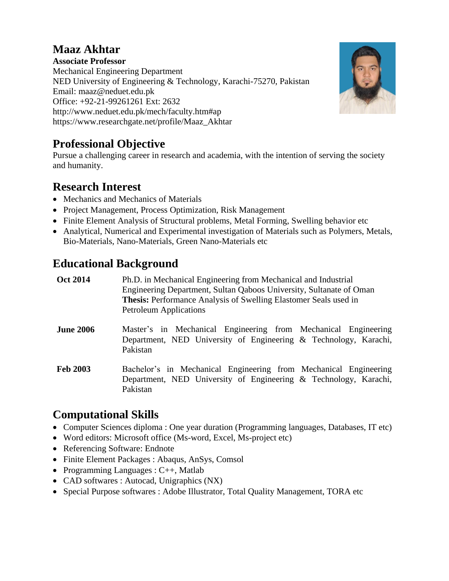# **Maaz Akhtar**

**Associate Professor** Mechanical Engineering Department NED University of Engineering & Technology, Karachi-75270, Pakistan Email: maaz@neduet.edu.pk Office: +92-21-99261261 Ext: 2632 <http://www.neduet.edu.pk/mech/faculty.htm#ap> https://www.researchgate.net/profile/Maaz\_Akhtar



Pursue a challenging career in research and academia, with the intention of serving the society and humanity.

# **Research Interest**

- Mechanics and Mechanics of Materials
- Project Management, Process Optimization, Risk Management
- Finite Element Analysis of Structural problems, Metal Forming, Swelling behavior etc
- Analytical, Numerical and Experimental investigation of Materials such as Polymers, Metals, Bio-Materials, Nano-Materials, Green Nano-Materials etc

# **Educational Background**

| <b>Oct 2014</b>  | Ph.D. in Mechanical Engineering from Mechanical and Industrial<br>Engineering Department, Sultan Qaboos University, Sultanate of Oman<br><b>Thesis:</b> Performance Analysis of Swelling Elastomer Seals used in<br><b>Petroleum Applications</b> |
|------------------|---------------------------------------------------------------------------------------------------------------------------------------------------------------------------------------------------------------------------------------------------|
| <b>June 2006</b> | Master's in Mechanical Engineering from Mechanical Engineering<br>Department, NED University of Engineering & Technology, Karachi,<br>Pakistan                                                                                                    |
| <b>Feb 2003</b>  | Bachelor's in Mechanical Engineering from Mechanical Engineering<br>Department, NED University of Engineering & Technology, Karachi,<br>Pakistan                                                                                                  |

## **Computational Skills**

- Computer Sciences diploma : One year duration (Programming languages, Databases, IT etc)
- Word editors: Microsoft office (Ms-word, Excel, Ms-project etc)
- Referencing Software: Endnote
- Finite Element Packages : Abaqus, AnSys, Comsol
- Programming Languages :  $C_{++}$ , Matlab
- CAD softwares : Autocad, Unigraphics (NX)
- Special Purpose softwares : Adobe Illustrator, Total Quality Management, TORA etc

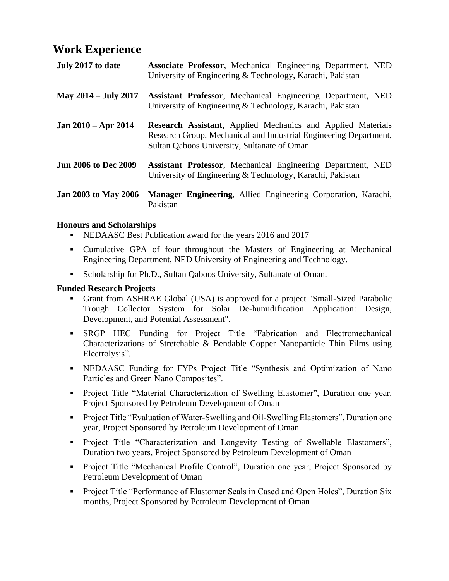### **Work Experience**

| July 2017 to date           | Associate Professor, Mechanical Engineering Department, NED<br>University of Engineering & Technology, Karachi, Pakistan                                                                |
|-----------------------------|-----------------------------------------------------------------------------------------------------------------------------------------------------------------------------------------|
| May 2014 – July 2017        | <b>Assistant Professor, Mechanical Engineering Department, NED</b><br>University of Engineering & Technology, Karachi, Pakistan                                                         |
| Jan 2010 – Apr 2014         | <b>Research Assistant</b> , Applied Mechanics and Applied Materials<br>Research Group, Mechanical and Industrial Engineering Department,<br>Sultan Qaboos University, Sultanate of Oman |
| <b>Jun 2006 to Dec 2009</b> | Assistant Professor, Mechanical Engineering Department, NED<br>University of Engineering & Technology, Karachi, Pakistan                                                                |
| <b>Jan 2003 to May 2006</b> | Manager Engineering, Allied Engineering Corporation, Karachi,<br>Pakistan                                                                                                               |

#### **Honours and Scholarships**

- NEDAASC Best Publication award for the years 2016 and 2017
- Cumulative GPA of four throughout the Masters of Engineering at Mechanical Engineering Department, NED University of Engineering and Technology.
- Scholarship for Ph.D., Sultan Qaboos University, Sultanate of Oman.

### **Funded Research Projects**

- Grant from ASHRAE Global (USA) is approved for a project "Small-Sized Parabolic Trough Collector System for Solar De-humidification Application: Design, Development, and Potential Assessment".
- SRGP HEC Funding for Project Title "Fabrication and Electromechanical Characterizations of Stretchable & Bendable Copper Nanoparticle Thin Films using Electrolysis".
- NEDAASC Funding for FYPs Project Title "Synthesis and Optimization of Nano Particles and Green Nano Composites".
- Project Title "Material Characterization of Swelling Elastomer", Duration one year, Project Sponsored by Petroleum Development of Oman
- Project Title "Evaluation of Water-Swelling and Oil-Swelling Elastomers", Duration one year, Project Sponsored by Petroleum Development of Oman
- Project Title "Characterization and Longevity Testing of Swellable Elastomers", Duration two years, Project Sponsored by Petroleum Development of Oman
- **Project Title "Mechanical Profile Control", Duration one year, Project Sponsored by** Petroleum Development of Oman
- Project Title "Performance of Elastomer Seals in Cased and Open Holes", Duration Six months, Project Sponsored by Petroleum Development of Oman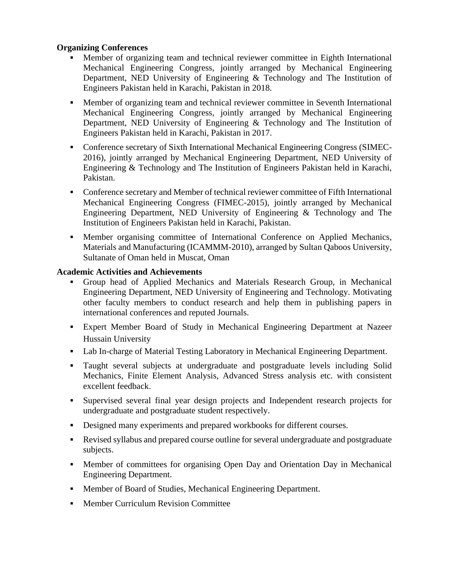#### **Organizing Conferences**

- Member of organizing team and technical reviewer committee in Eighth International Mechanical Engineering Congress, jointly arranged by Mechanical Engineering Department, NED University of Engineering & Technology and The Institution of Engineers Pakistan held in Karachi, Pakistan in 2018.
- Member of organizing team and technical reviewer committee in Seventh International Mechanical Engineering Congress, jointly arranged by Mechanical Engineering Department, NED University of Engineering & Technology and The Institution of Engineers Pakistan held in Karachi, Pakistan in 2017.
- Conference secretary of Sixth International Mechanical Engineering Congress (SIMEC-2016), jointly arranged by Mechanical Engineering Department, NED University of Engineering & Technology and The Institution of Engineers Pakistan held in Karachi, Pakistan.
- Conference secretary and Member of technical reviewer committee of Fifth International Mechanical Engineering Congress (FIMEC-2015), jointly arranged by Mechanical Engineering Department, NED University of Engineering & Technology and The Institution of Engineers Pakistan held in Karachi, Pakistan.
- Member organising committee of International Conference on Applied Mechanics, Materials and Manufacturing (ICAMMM-2010), arranged by Sultan Qaboos University, Sultanate of Oman held in Muscat, Oman

#### **Academic Activities and Achievements**

- Group head of Applied Mechanics and Materials Research Group, in Mechanical Engineering Department, NED University of Engineering and Technology. Motivating other faculty members to conduct research and help them in publishing papers in international conferences and reputed Journals.
- Expert Member Board of Study in Mechanical Engineering Department at Nazeer Hussain University
- Lab In-charge of Material Testing Laboratory in Mechanical Engineering Department.
- Taught several subjects at undergraduate and postgraduate levels including Solid Mechanics, Finite Element Analysis, Advanced Stress analysis etc. with consistent excellent feedback.
- Supervised several final year design projects and Independent research projects for undergraduate and postgraduate student respectively.
- Designed many experiments and prepared workbooks for different courses.
- Revised syllabus and prepared course outline for several undergraduate and postgraduate subjects.
- Member of committees for organising Open Day and Orientation Day in Mechanical Engineering Department.
- Member of Board of Studies, Mechanical Engineering Department.
- **Member Curriculum Revision Committee**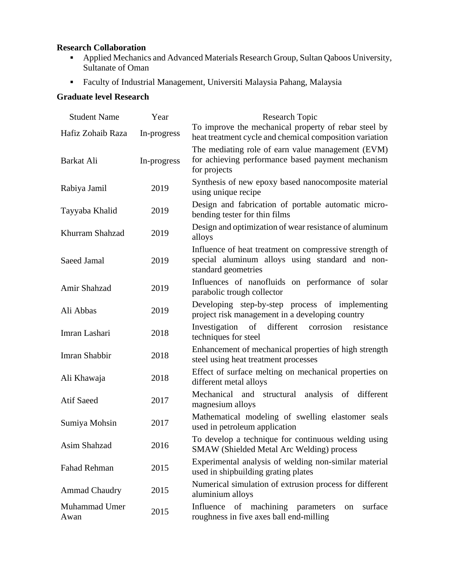### **Research Collaboration**

- Applied Mechanics and Advanced Materials Research Group, Sultan Qaboos University, Sultanate of Oman
- Faculty of Industrial Management, Universiti Malaysia Pahang, Malaysia

### **Graduate level Research**

| <b>Student Name</b>   | Year        | Research Topic                                                                                                                   |
|-----------------------|-------------|----------------------------------------------------------------------------------------------------------------------------------|
| Hafiz Zohaib Raza     | In-progress | To improve the mechanical property of rebar steel by<br>heat treatment cycle and chemical composition variation                  |
| Barkat Ali            | In-progress | The mediating role of earn value management (EVM)<br>for achieving performance based payment mechanism<br>for projects           |
| Rabiya Jamil          | 2019        | Synthesis of new epoxy based nanocomposite material<br>using unique recipe                                                       |
| Tayyaba Khalid        | 2019        | Design and fabrication of portable automatic micro-<br>bending tester for thin films                                             |
| Khurram Shahzad       | 2019        | Design and optimization of wear resistance of aluminum<br>alloys                                                                 |
| Saeed Jamal           | 2019        | Influence of heat treatment on compressive strength of<br>special aluminum alloys using standard and non-<br>standard geometries |
| Amir Shahzad          | 2019        | Influences of nanofluids on performance of solar<br>parabolic trough collector                                                   |
| Ali Abbas             | 2019        | Developing step-by-step process of implementing<br>project risk management in a developing country                               |
| Imran Lashari         | 2018        | Investigation of<br>different<br>corrosion<br>resistance<br>techniques for steel                                                 |
| Imran Shabbir         | 2018        | Enhancement of mechanical properties of high strength<br>steel using heat treatment processes                                    |
| Ali Khawaja           | 2018        | Effect of surface melting on mechanical properties on<br>different metal alloys                                                  |
| <b>Atif Saeed</b>     | 2017        | Mechanical and structural analysis of<br>different<br>magnesium alloys                                                           |
| Sumiya Mohsin         | 2017        | Mathematical modeling of swelling elastomer seals<br>used in petroleum application                                               |
| Asim Shahzad          | 2016        | To develop a technique for continuous welding using<br>SMAW (Shielded Metal Arc Welding) process                                 |
| Fahad Rehman          | 2015        | Experimental analysis of welding non-similar material<br>used in shipbuilding grating plates                                     |
| <b>Ammad Chaudry</b>  | 2015        | Numerical simulation of extrusion process for different<br>aluminium alloys                                                      |
| Muhammad Umer<br>Awan | 2015        | Influence of machining parameters<br>surface<br>on<br>roughness in five axes ball end-milling                                    |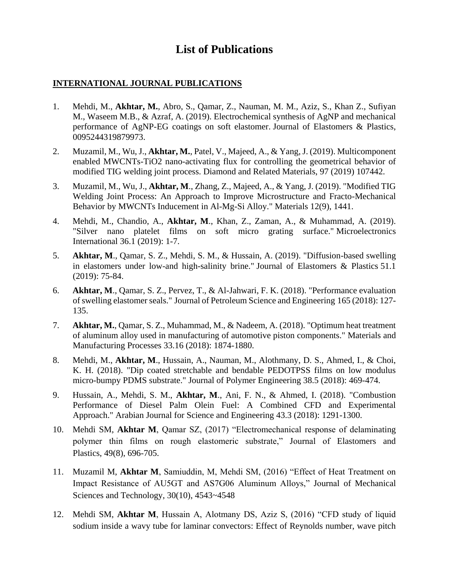### **List of Publications**

#### **INTERNATIONAL JOURNAL PUBLICATIONS**

- 1. Mehdi, M., **Akhtar, M.**, Abro, S., Qamar, Z., Nauman, M. M., Aziz, S., Khan Z., Sufiyan M., Waseem M.B., & Azraf, A. (2019). Electrochemical synthesis of AgNP and mechanical performance of AgNP-EG coatings on soft elastomer. Journal of Elastomers & Plastics, 0095244319879973.
- 2. Muzamil, M., Wu, J., **Akhtar, M.**, Patel, V., Majeed, A., & Yang, J. (2019). Multicomponent enabled MWCNTs-TiO2 nano-activating flux for controlling the geometrical behavior of modified TIG welding joint process. Diamond and Related Materials, 97 (2019) 107442.
- 3. Muzamil, M., Wu, J., **Akhtar, M**., Zhang, Z., Majeed, A., & Yang, J. (2019). "Modified TIG Welding Joint Process: An Approach to Improve Microstructure and Fracto-Mechanical Behavior by MWCNTs Inducement in Al-Mg-Si Alloy." Materials 12(9), 1441.
- 4. Mehdi, M., Chandio, A., **Akhtar, M**., Khan, Z., Zaman, A., & Muhammad, A. (2019). "Silver nano platelet films on soft micro grating surface." Microelectronics International 36.1 (2019): 1-7.
- 5. **Akhtar, M**., Qamar, S. Z., Mehdi, S. M., & Hussain, A. (2019). "Diffusion-based swelling in elastomers under low-and high-salinity brine." Journal of Elastomers & Plastics 51.1 (2019): 75-84.
- 6. **Akhtar, M**., Qamar, S. Z., Pervez, T., & Al-Jahwari, F. K. (2018). "Performance evaluation of swelling elastomer seals." Journal of Petroleum Science and Engineering 165 (2018): 127- 135.
- 7. **Akhtar, M.**, Qamar, S. Z., Muhammad, M., & Nadeem, A. (2018). "Optimum heat treatment of aluminum alloy used in manufacturing of automotive piston components." Materials and Manufacturing Processes 33.16 (2018): 1874-1880.
- 8. Mehdi, M., **Akhtar, M**., Hussain, A., Nauman, M., Alothmany, D. S., Ahmed, I., & Choi, K. H. (2018). "Dip coated stretchable and bendable PEDOTPSS films on low modulus micro-bumpy PDMS substrate." Journal of Polymer Engineering 38.5 (2018): 469-474.
- 9. Hussain, A., Mehdi, S. M., **Akhtar, M**., Ani, F. N., & Ahmed, I. (2018). "Combustion Performance of Diesel Palm Olein Fuel: A Combined CFD and Experimental Approach." Arabian Journal for Science and Engineering 43.3 (2018): 1291-1300.
- 10. Mehdi SM, **Akhtar M**, Qamar SZ, (2017) "Electromechanical response of delaminating polymer thin films on rough elastomeric substrate," Journal of Elastomers and Plastics, 49(8), 696-705.
- 11. Muzamil M, **Akhtar M**, Samiuddin, M, Mehdi SM, (2016) "Effect of Heat Treatment on Impact Resistance of AU5GT and AS7G06 Aluminum Alloys," Journal of Mechanical Sciences and Technology, 30(10), 4543~4548
- 12. Mehdi SM, **Akhtar M**, Hussain A, Alotmany DS, Aziz S, (2016) "CFD study of liquid sodium inside a wavy tube for laminar convectors: Effect of Reynolds number, wave pitch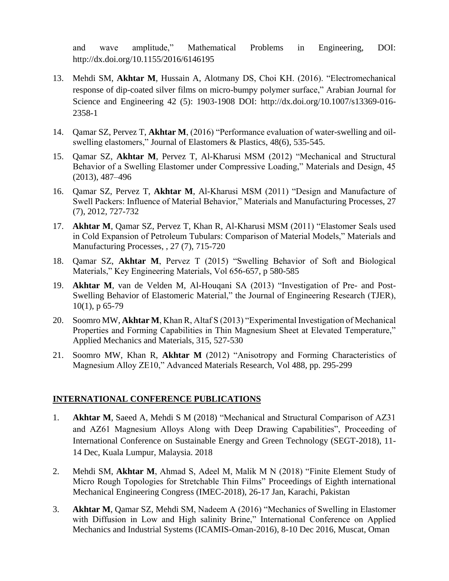and wave amplitude," Mathematical Problems in Engineering, DOI: <http://dx.doi.org/10.1155/2016/6146195>

- 13. Mehdi SM, **Akhtar M**, Hussain A, Alotmany DS, Choi KH. (2016). "Electromechanical response of dip-coated silver films on micro-bumpy polymer surface," Arabian Journal for Science and Engineering 42 (5): 1903-1908 DOI: [http://dx.doi.org/10.1007/s13369-016-](http://dx.doi.org/10.1007/s13369-016-2358-1) [2358-1](http://dx.doi.org/10.1007/s13369-016-2358-1)
- 14. Qamar SZ, Pervez T, **Akhtar M**, (2016) "Performance evaluation of water-swelling and oilswelling elastomers," Journal of Elastomers & Plastics, 48(6), 535-545.
- 15. Qamar SZ, **Akhtar M**, Pervez T, Al-Kharusi MSM (2012) "Mechanical and Structural Behavior of a Swelling Elastomer under Compressive Loading," Materials and Design, 45 (2013), 487–496
- 16. Qamar SZ, Pervez T, **Akhtar M**, Al-Kharusi MSM (2011) "Design and Manufacture of Swell Packers: Influence of Material Behavior," Materials and Manufacturing Processes, 27 (7), 2012, 727-732
- 17. **Akhtar M**, Qamar SZ, Pervez T, Khan R, Al-Kharusi MSM (2011) "Elastomer Seals used in Cold Expansion of Petroleum Tubulars: Comparison of Material Models," Materials and Manufacturing Processes, , 27 (7), 715-720
- 18. Qamar SZ, **Akhtar M**, Pervez T (2015) "Swelling Behavior of Soft and Biological Materials," Key Engineering Materials, Vol 656-657, p 580-585
- 19. **Akhtar M**, van de Velden M, Al-Houqani SA (2013) "Investigation of Pre- and Post-Swelling Behavior of Elastomeric Material," the Journal of Engineering Research (TJER), 10(1), p 65-79
- 20. Soomro MW, **Akhtar M**, Khan R, Altaf S (2013) "Experimental Investigation of Mechanical Properties and Forming Capabilities in Thin Magnesium Sheet at Elevated Temperature," Applied Mechanics and Materials, 315, 527-530
- 21. Soomro MW, Khan R, **Akhtar M** (2012) "Anisotropy and Forming Characteristics of Magnesium Alloy ZE10," Advanced Materials Research, Vol 488, pp. 295-299

#### **INTERNATIONAL CONFERENCE PUBLICATIONS**

- 1. **Akhtar M**, Saeed A, Mehdi S M (2018) "Mechanical and Structural Comparison of AZ31 and AZ61 Magnesium Alloys Along with Deep Drawing Capabilities", Proceeding of International Conference on Sustainable Energy and Green Technology (SEGT-2018), 11- 14 Dec, Kuala Lumpur, Malaysia. 2018
- 2. Mehdi SM, **Akhtar M**, Ahmad S, Adeel M, Malik M N (2018) "Finite Element Study of Micro Rough Topologies for Stretchable Thin Films" Proceedings of Eighth international Mechanical Engineering Congress (IMEC-2018), 26-17 Jan, Karachi, Pakistan
- 3. **Akhtar M**, Qamar SZ, Mehdi SM, Nadeem A (2016) "Mechanics of Swelling in Elastomer with Diffusion in Low and High salinity Brine," International Conference on Applied Mechanics and Industrial Systems (ICAMIS-Oman-2016), 8-10 Dec 2016, Muscat, Oman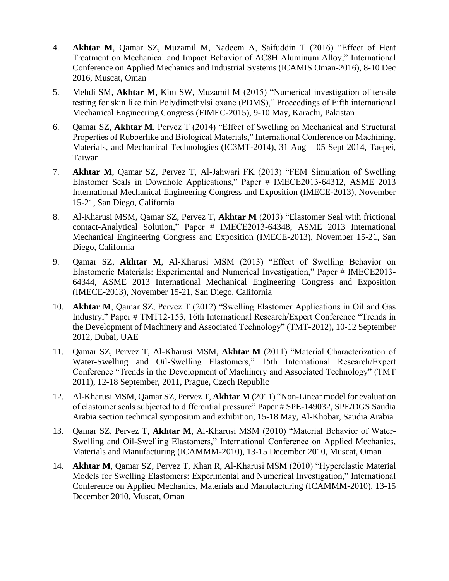- 4. **Akhtar M**, Qamar SZ, Muzamil M, Nadeem A, Saifuddin T (2016) "Effect of Heat Treatment on Mechanical and Impact Behavior of AC8H Aluminum Alloy," International Conference on Applied Mechanics and Industrial Systems (ICAMIS Oman-2016), 8-10 Dec 2016, Muscat, Oman
- 5. Mehdi SM, **Akhtar M**, Kim SW, Muzamil M (2015) "Numerical investigation of tensile testing for skin like thin Polydimethylsiloxane (PDMS)," Proceedings of Fifth international Mechanical Engineering Congress (FIMEC-2015), 9-10 May, Karachi, Pakistan
- 6. Qamar SZ, **Akhtar M**, Pervez T (2014) "Effect of Swelling on Mechanical and Structural Properties of Rubberlike and Biological Materials," International Conference on Machining, Materials, and Mechanical Technologies (IC3MT-2014), 31 Aug – 05 Sept 2014, Taepei, Taiwan
- 7. **Akhtar M**, Qamar SZ, Pervez T, Al-Jahwari FK (2013) "FEM Simulation of Swelling Elastomer Seals in Downhole Applications," Paper # IMECE2013-64312, ASME 2013 International Mechanical Engineering Congress and Exposition (IMECE-2013), November 15-21, San Diego, California
- 8. Al-Kharusi MSM, Qamar SZ, Pervez T, **Akhtar M** (2013) "Elastomer Seal with frictional contact-Analytical Solution," Paper # IMECE2013-64348, ASME 2013 International Mechanical Engineering Congress and Exposition (IMECE-2013), November 15-21, San Diego, California
- 9. Qamar SZ, **Akhtar M**, Al-Kharusi MSM (2013) "Effect of Swelling Behavior on Elastomeric Materials: Experimental and Numerical Investigation," Paper # IMECE2013- 64344, ASME 2013 International Mechanical Engineering Congress and Exposition (IMECE-2013), November 15-21, San Diego, California
- 10. **Akhtar M**, Qamar SZ, Pervez T (2012) "Swelling Elastomer Applications in Oil and Gas Industry," Paper # TMT12-153, 16th International Research/Expert Conference "Trends in the Development of Machinery and Associated Technology" (TMT-2012), 10-12 September 2012, Dubai, UAE
- 11. Qamar SZ, Pervez T, Al-Kharusi MSM, **Akhtar M** (2011) "Material Characterization of Water-Swelling and Oil-Swelling Elastomers," 15th International Research/Expert Conference "Trends in the Development of Machinery and Associated Technology" (TMT 2011), 12-18 September, 2011, Prague, Czech Republic
- 12. Al-Kharusi MSM, Qamar SZ, Pervez T, **Akhtar M** (2011) "Non-Linear model for evaluation of elastomer seals subjected to differential pressure" Paper # SPE-149032, SPE/DGS Saudia Arabia section technical symposium and exhibition, 15-18 May, Al-Khobar, Saudia Arabia
- 13. Qamar SZ, Pervez T, **Akhtar M**, Al-Kharusi MSM (2010) "Material Behavior of Water-Swelling and Oil-Swelling Elastomers," International Conference on Applied Mechanics, Materials and Manufacturing (ICAMMM-2010), 13-15 December 2010, Muscat, Oman
- 14. **Akhtar M**, Qamar SZ, Pervez T, Khan R, Al-Kharusi MSM (2010) "Hyperelastic Material Models for Swelling Elastomers: Experimental and Numerical Investigation," International Conference on Applied Mechanics, Materials and Manufacturing (ICAMMM-2010), 13-15 December 2010, Muscat, Oman